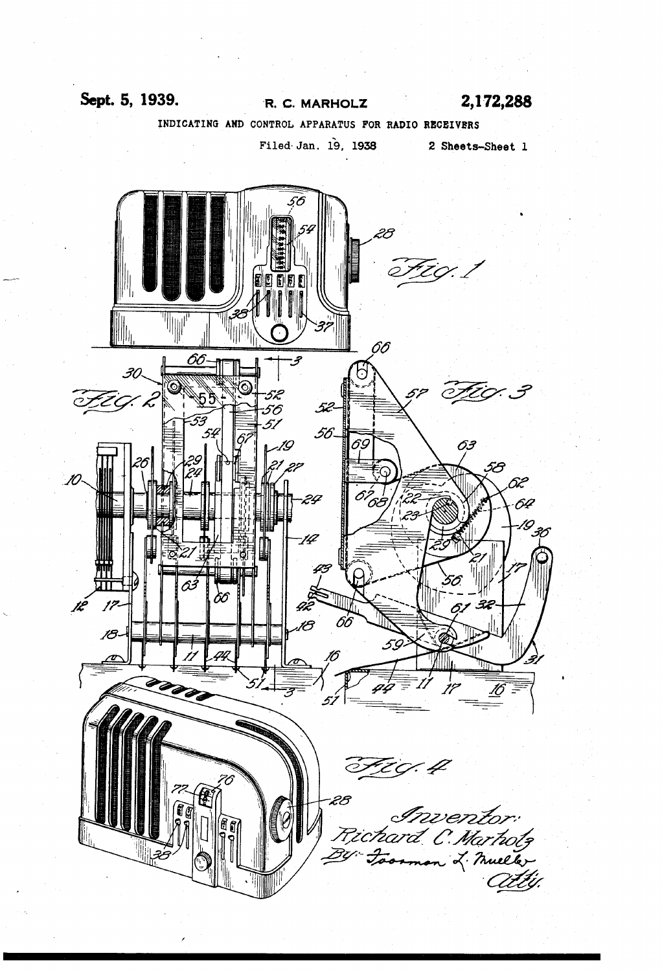## Sept. 5, 1939. R. C. MARHOLZ 2,172,288

INDICATING AND CONTROL APPARATUS FOR RADIO RECEIVERS

Filed Jan. 19, 1938 2 Sheets-Sheet 1

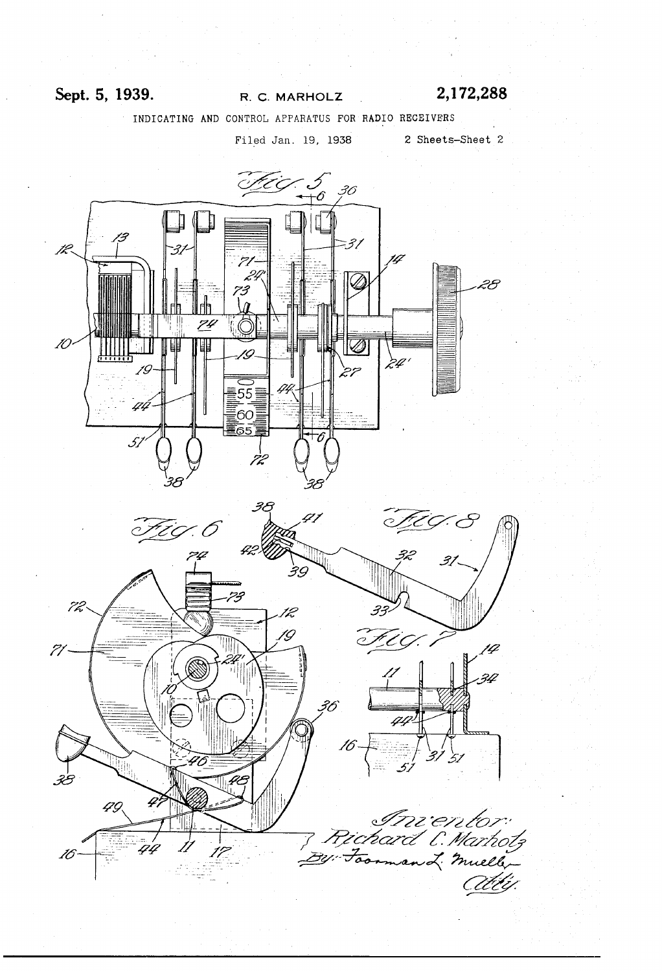## Sept. 5, 1939.

### R. C. MARHOLZ

## 2,172,288

2 Sheets-Sheet 2

INDICATING AND CONTROL APPARATUS FOR RADIO RECEIVERS

Filed Jan. 19, 1938

tig. 5 36 -31 71 24 28 74 10 뱗  $\overline{55}$ 

:60

Ŧ

دچ <u>I</u>tig 8 <u>Fig. 6</u> 31 39 بيبر  $\mathcal{Z}$  $Z'$ 36 .<br>44 .35 4 40 Ini en lor:<br>hard (Marholz comand muelle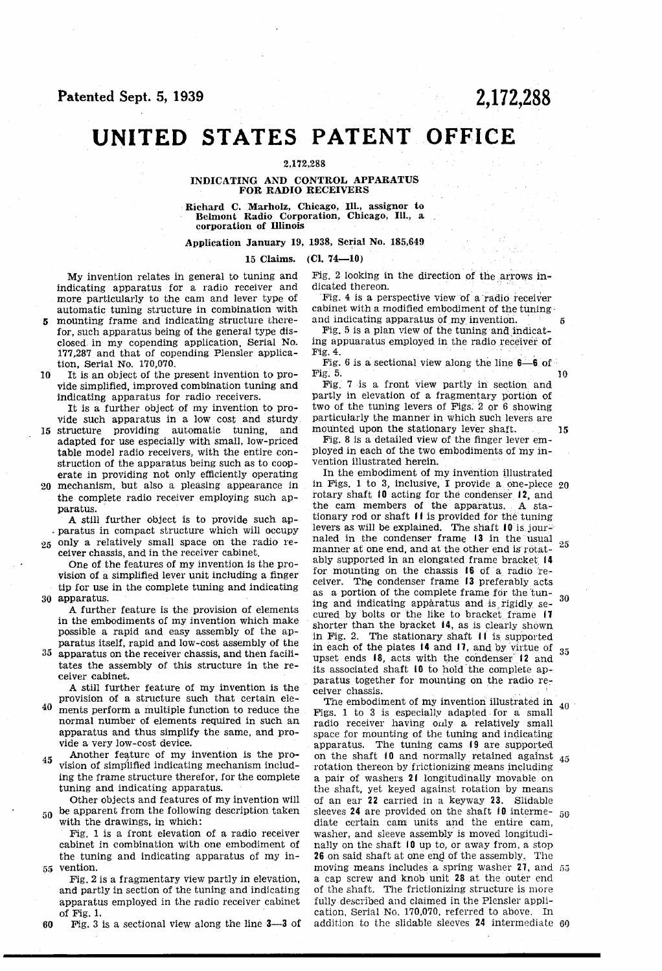## 2,172.288

# UNITED STATES PATENT OFFICE

### 2,12,288

## INDICATING AND CONTROL APPARATUS<br>FOR RADIO RECEIVERS

Richard C. Marholz, Chicago, Ill., assignor to Belmont Radio Corporation, Chicago, Ill., a corporation of Illinois

### Application January 19, 1938, Serial No. 185,649

#### 15 Claims.  $(C1. 74 - 10)$

Fig. 5.

My invention relates in general to tuning and indicating apparatus for a radio receiver and more particularly to the cam and lever type of automatic tuning structure in combination with

- mounting frame and indicating structure there-К for, such apparatus being of the general type dis closed in my copending application, Serial No. 177,287 and that of copending Plensler applica tion, Serial No. 170,070.
- 10 It is an object of the present invention to pro vide simplified, improved combination tuning and

5 structure providing automatic tuning, and indicating apparatus for radio receivers.<br>It is a further object of my invention to provide such apparatus in a low cost and sturdy adapted for use especially with Small, low-priced table model radio receivers, with the entire con-

- 20 mechanism, but also a pleasing appearance in struction of the apparatus being such as to cooperate in providing not only efficiently operating
- the complete radio receiver employing such apparatus.

25 only a relatively small space on the radio re A still further object is to provide. Such ap paratus in compact structure which Will Occupy

30 apparatus. ceiver chassis, and in the receiver cabinet. vision of a simplified lever unit including a finger tip for use in the complete tuning and indicating

A further feature is the provision of elements in the embodiments of my invention which make possible a rapid and easy assembly of the ap paratus itself, rapid and low-cost assembly of the

35 apparatus on the receiver chassis, and then facilitates the assembly of this structure in the re ceiver cabinet.

A still further feature of my invention is the provision of a structure such that certain ele-

40 ments perform a multiple function to reduce the normal number of elements required in Such an apparatus and thus simplify the same, and provide a very low-cost device.<br>Another feature of my invention is the pro-

45 vision of simplified indicating mechanism including the frame structure therefor, for the complete tuning and indicating apparatus.

Other objects and features of my invention will be apparent from the following description taken with the drawings, in which:

Fig. 1 is a front elevation of a radio receiver cabinet in combination with one embodiment of the tuning and indicating apparatus of my in Vention.

Fig. 2 is a fragmentary view partly in elevation. and partly in section of the tuning and indicating apparatus employed in the radio receiver cabinet of Fig. 1.

5 5

50

60 Fig. 3 is a sectional view along the line 3-3 of

Fig. 2 looking in the direction of the arrows in dicated thereon.

Fig. 4 is a perspective view of a radio receiver

and indicating apparatus of my invention.<br>Fig. 5 is a plan view of the tuning and indicating appuaratus employed in the radio receiver of Fig.  $4$ .

Fig. 6 is a sectional view along the line  $6-6$  of 0.

Fig. 7 is a front view partly in section and partly in elevation of a fragmentary portion of two of the tuning levers of Figs. 2 or 6 showing particularly the manner in which such levers are mounted upon the stationary lever shaft.

Fig. 8 is a detailed view of the finger lever employed in each of the two embodiments of my invention illustrated herein.

In the embodiment of my invention illustrated in FigS. 1 to 3, inclusive, I provide a one-piece 20 rotary shaft 10 acting for the condenser 12, and the cam members of the apparatus. A stationary rod or shaft  $\theta$  is provided for the tuning levers as will be explained. The shaft  $\theta$  is journaled in the condenser frame 13 in the usual manner at one end, and at the other end is rotatably supported in an elongated frame bracket 4 for mounting on the chassis 16 of a radio receiver. The condenser frame 13 preferably acts as a portion of the complete frame for the tun ing and indicating apparatus and is rigidly se cured by bolts or the like to bracket frame 17 shorter than the bracket 14, as is clearly shown in Fig. 2. The stationary shaft 11 is supported in each of the plates 14 and 11, and by virtue of  $_{35}$ upset ends  $18$ , acts with the condenser  $12$  and its associated shaft 10 to hold the complete apparatus together for mounting on the radio re ceiver chassis. 25

Figs. 1 to 3 is especially adapted for a small radio receiver having only a relatively small space for mounting of the tuning and indicating apparatus. The tuning cams 19 are supported<br>on the shaft 10 and normally retained against  $_{45}$ rotation thereon by frictionizing means including a pair of washers 21 longitudinally movable on the shaft, yet keyed against rotation by means of an ear 22 carried in a keyway 23. Slidable sleeves  $24$  are provided on the shaft  $10$  interme-  $50$  diate certain came units and the entire cam. washer, and sleeve assembly is moved longitudinally on the shaft  $10$  up to, or away from, a stop 26 on said shaft at one eng of the assembly. The moving means includes a spring washer  $21$ , and  $55$ a cap screw and knob unit 28 at the outer end of the shaft. The frictionizing structure is more fully described and claimed in the Plensler application, Serial No. 170,070, referred to above. In addition to the slidable sleeves 24 intermediate 60 The embodiment of my invention illustrated in  $_{40}$ 

5

30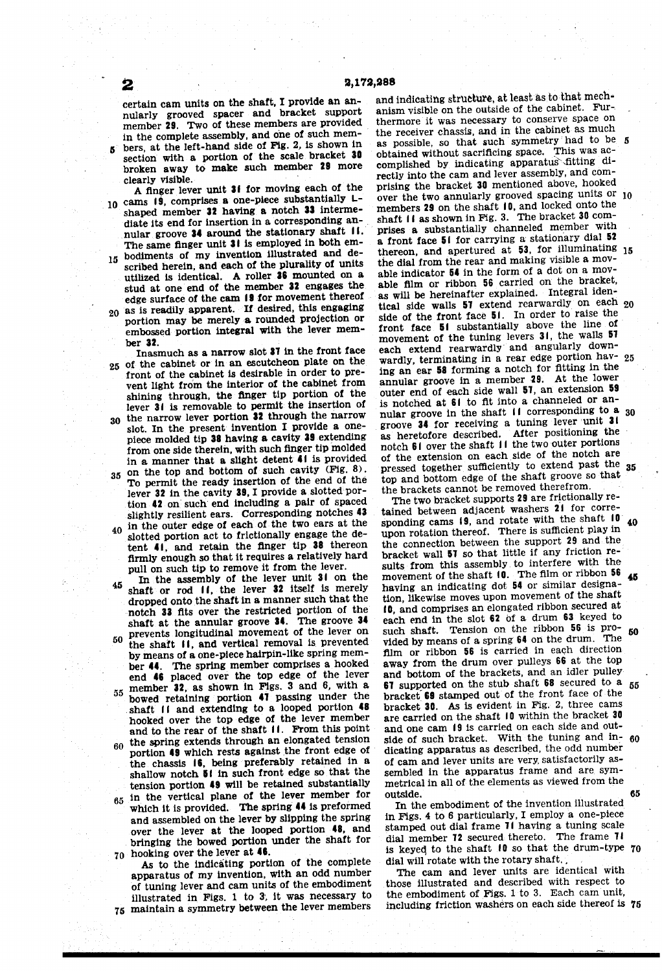certain cam units on the shaft, I provide an an nularly grooved spacer and bracket support<br>member 29. Two of these members are provided in the complete assembly, and one of such members, at the left-hand side of Fig. 2, is shown in section with a portion of the scale bracket 30 broken away to make such member 29 more clearly visible.

A ninger lever unit of for moving each of the<br>10 cams  $\frac{19}{10}$ , comprises a one-piece substantially L-5 bodiments of my invention illustrated and de-<br>with the position of the plurelity of units 20 as is readily apparent. If desired, this engaging A finger lever unit 31 for moving each of the shaped member 32 having a notch 33 intermediate its end for insertion in a corresponding an-<br>nular groove 34 around the stationary shaft 11. The same finger unit 31 is employed in both emscribed herein, and each of the plurality of units utilized is identical. A roller 36 mounted on a stud at One end of the member 32 engages the edge surface of the cam 19 for movement thereof portion may be merely a rounded projection or embossed portion integral with the lever mem ber 32.

25 of the cabinet or in an escutcheon plate on the 30 the narrow lever portion 32 through the narrow<br>the narrow lever the intention I provide a one- $35$  on the top and bottom of such cavity (Fig. 8). 40 in the outer edge of each of the two ears at the Inasmuch as a narrow slot 37 in the front face front of the cabinet is desirable in order to prevent light from the interior of the cabinet from shining through, the finger tip portion of the lever 31 is removable to permit the insertion of slot. In the present invention I provide a one-<br>piece molded tip 38 having a cavity 39 extending from one side therein, with such finger tip molded in a manner that a slight detent 41 is provided To permit the ready insertion of the end of the lever 32 in the cavity 39, I provide a slotted portion 42 on such end including a pair of spaced slightly resilient ears. Corresponding notches 43 slotted portion act to frictionally engage the de tent 41, and retain the finger tip 38 thereon firmly enough so that it requires a relatively hard pull on such tip to remove it from the lever.

45 shaft or rod 11, the lever 32 itself is merely  $50$  prevents longitudinal movement of the lever on  $50$  the sheft it and vertical removal is prevented and to the rear of the shaft  $H$ . From this point  $60$  the spring extends through an elongated tension  $f$ In the assembly of the lever unit  $31$  on the dropped onto the shaft in a manner such that the notch 33 fits over the restricted portion of the shaft at the annular groove 34. The groove 34 the shaft ii, and vertical removal is prevented by means of a one-piece hairpin-like spring member 44. The spring member comprises a hooked end 46 placed over the top edge of the lever<br>55 member 32, as shown in Figs. 3 and 6, with a bowed retaining portion 47 passing under the shaft II and extending to a looped portion 48 hooked over the top edge of the lever member<br>and to the rear of the shaft II. From this point portion 49 which rests against the front edge of the chassis 16, being preferably retained in a shallow notch 51 in such front edge so that the tension portion 49 will be retained substantially 65 in the vertical plane of the lever member for which it is provided. The spring 44 is preformed and assembled on the lever by slipping the spring over the lever at the looped portion 48, and bringing the bowed portion under the shaft for  $70$  hooking over the lever at 46.

As to the indicating portion of the complete apparatus of my invention, with an odd number of tuning lever and can units of the embodiment illustrated in Figs. 1 to 3, it was necessary to 75 maintain a symmetry between the lever members

and indicating structure, at least as to that mech anism visible on the outside of the cabinet. Fur thermore it was necessary to conserve Space on the receiver chassis, and in the cabinet as much as possible, so that such symmetry had to be 5 obtained without sacrificing space. This was accomplished by indicating apparatus fitting directly into the cam and lever assembly, and COm prising the bracket 30 mentioned above, hooked over the two annularly grooved spacing units or 10 members 29 on the shaft 10, and locked onto the shaft  $\blacksquare$  f as shown in Fig. 3. The bracket 30 comprises a substantially channeled member with a front face 51 for carrying a stationary dial 52 the dial from the rear and making visible a movable indicator 54 in the form of a dot on a mov able film or ribbon 56 carried on the bracket, as will be hereinafter explained. Integral iden tical side walls  $57$  extend rearwardly on each  $20$ side of the front face 51. In order to raise the front face 51 substantially above the line of movement of the tuning levers 31, the walls 57 each extend rearwardly and angularly down wardly, terminating in a rear edge portion hav ing an ear 58 forming a notch for fitting in the annular groove in a member 29, At the lower outer end of each side wall 57, an extension 59 is notched at 61 to fit into a channeled or annular groove in the shaft 11 corresponding to a groove 34 for receiving a tuning lever unit 3 thereon, and apertured at 53, for illuminating 15 25 30 as heretofore described. After positioning the notch 61 over the shaft 11 the two outer portions<br>of the extension on each side of the notch are pressed together sufficiently to extend past the top and bottom edge of the shaft groove so that the brackets cannot be removed therefrom. 35

The two bracket supports 29 are frictionally re tained between adjacent washers 21 for corresponding cams 19, and rotate with the shaft 10 upon rotation thereof. There is sufficient play in the connection between the support 29 and the bracket wall 57 so that little if any friction results from this assembly, to interfere with the movement of the shaft 10. The film or ribbon 56 having an indicating dot 54 or similar designa tion, likewise moves upon movement of the shaft f0, and comprises an elongated ribbon Secured at each end in the slot 62 of a drum 63 keyed to such shaft. Tension on the ribbon 56 is prosuch shaft. Tension on the ribbon 56 is pro-<br>vided by means of a spring  $64$  on the drum. The film or ribbon 56 is carried in each direction away from the drum over pulleys 66 at the top and bottom of the brackets, and an idler pulley and bottom of the brackets, and an idler pulley.<br>**67** supported on the stub shaft 68 secured to a 55 bracket 69 stamped out of the front face of the bracket 30. As is evident in Fig. 2, three cams are carried on the shaft 10 within the bracket 30 and one cam 19 is carried on each side and outside of such bracket. With the tuning and indicating apparatus as described, the odd number of cam and lever units are very, satisfactorily as metrical in all of the elements as viewed from the Outside. 40 45 60 65

In the embodiment of the invention illustrated<br>in Figs. 4 to 6 particularly, I employ a one-piece stamped out dial frame 71 having a tuning scale dial member 72 secured thereto. The frame 71 is keyed to the shaft 10 so that the drum-type 70

dial will rotate with the rotary shaft, The cam and lever units are identical with those illustrated and described with respect to the embodiment of Figs. 1 to 3. Each cam unit, the embodiment of Figs. 1 to 3. Each cam unit, including friction washers on each side thereof is 75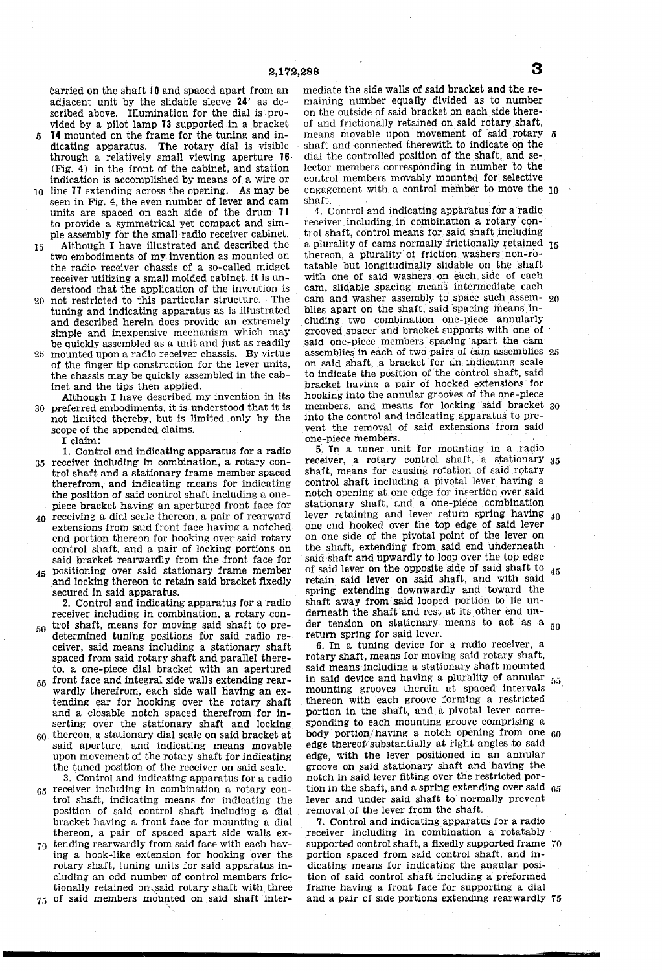carried on the shaft 10 and spaced apart from an adjacent unit by the slidable sleeve 24' as described above. Illumination for the dial is provided by a pilot lamp 73 supported in a bracket

- 74 mounted on the frame for the tuning and in dicating apparatus. The rotary dial is visible through a relatively small viewing aperture 76. (Fig. 4) in the front of the cabinet, and station indication is accomplished by means of a wire or
- 10 line 77 extending across the opening. As may be Seen in Fig. 4, the even number of lever and cam units are spaced on each side of the drum 7 to provide a symmetrical yet compact and sim ple assembly for the Small radio receiver cabinet.
- 5 Although I have illustrated and described the two embodiments of my invention as mounted on<br>the radio receiver chassis of a so-called midget receiver utilizing a small molded cabinet, it is understood that the application of the invention is
- 20 not restricted to this particular structure. The tuning and indicating apparatus as is illustrated simple and inexpensive mechanism which may be quickly assembled as a unit and just as readily
- 25 mounted upon a radio receiver chassis. By virtue of the finger tip construction for the lever units, the chassis may be quickly assembled in the cab inet and the tips then applied.
- 30 preferred embodiments, it is understood that it is Although I have described my invention in its preferred embodiments, it is understood that it is not limited thereby, but is limited only by the scope of the appended claims.

- 35 receiver including in combination, a rotary con 1. Control and indicating apparatus for a radio trol shaft and a stationary frame member spaced therefrom, and indicating means for indicating the position of said control shaft including a onepiece bracket having an apertured front face for
- 40 receiving a dial scale thereon, a pair of rearward extensions from said front face having a notched<br>end portion thereon for hooking over said rotary control shaft, and a pair of locking portions on Said bracket rearwardly from the front face for
- 45 positioning over said stationary frame member and locking thereon to retain said bracket fixedly<br>secured in said apparatus.<br>2. Control and indicating apparatus for a radio

receiver including in combination, a rotary con

- 50 trol shaft, means for moving said shaft to predetermined tuning positions for said radio receiver, said means including a stationary shaft spaced from said rotary shaft and parallel there-<br>to. a one-piece dial bracket with an apertured
- serting over the stationary shaft and locking  $60$  thereon, a stationary dial scale on said bracket at  $_{55}$  front face and integral side walls extending rear-Wardly therefrom, each side wall having an ex tending ear for hooking over the rotary shaft and a closable notch spaced therefrom for inserting over the stationary shaft and locking
- said aperture, and indicating means movable<br>upon movement of the rotary shaft for indicating the tuned position of the receiver on said scale.
- 65 receiver including in combination a rotary con 3. Control and indicating apparatus for a radio trol shaft, indicating means for indicating the position of Said control shaft including a dial bracket having a front face for mounting a dial thereon, a pair of spaced apart side walls ex-
- $70$  tending rearwardly from said face with each having a hook-like extension for hooking over the rotary shaft, tuning units for said apparatus in cluding an odd number of control members fric tionally retained on said rotary shaft with three

75 of said members mounted on said shaft inter

mediate the side walls of said bracket and the re maining number equally divided as to number<br>on the outside of said bracket on each side thereof and frictionally retained on said rotary shaft, means movable upon movement of said rotary 5 shaft and connected therewith to indicate on the dial the controlled position of the shaft, and se lector members corresponding in number to the control members movably mounted for selective engagement with a control member to move the 0. shaft.

4. Control and indicating apparatus for a radio receiver including in combination a rotary con trol shaft, control means for said shaft including a plurality of cams normally frictionally retained 15 thereon, a plurality of friction washers non-ro tatable but longitudinally slidable on the shaft with one of said washers on each side of each cam, slidable spacing means intermediate each blies apart on the shaft, said spacing means in-<br>cluding two combination one-piece annularly cam and washer assembly to space such assem- 20 grooved spacer and bracket supports with one of said one-piece members Spacing apart the cam assemblies in each of two pairs of cam assemblies 25 on said shaft, a bracket for an indicating scale to indicate the position of the control shaft, said hooking into the annular grooves of the one-piece into the control and indicating apparatus to pre-<br>vent the removal of said extensions from said one-piece members.<br>5. In a tuner unit for mounting in a radio members, and means for locking said bracket 30

shaft, means for causing rotation of said rotary control shaft including a pivotal lever having a notch opening at one edge for insertion over said stationary shaft, and a one-piece combination lever retaining and lever return spring having  $_{40}$ one end hooked over the top edge of said lever on one side of the pivotal point of the lever on the shaft, extending from said end underneath said shaft and upwardly to loop over the top edge of said lever on the opposite side of said shaft to 45 retain said lever on said shaft, and with said spring extending downwardly and toward the shaft away from said looped portion to lie un derneath the shaft and rest at its other end un der tension on stationary means to act as a  $_{50}$ return spring for said lever. receiver, a rotary control shaft, a stationary 35

6. In a tuning device for a radio receiver, a said means including a stationary shaft mounted in said device and having a plurality of annular  $_{55}$ mounting grooves therein at spaced intervals thereon with each groove forming a restricted portion in the shaft, and a pivotal lever corre sponding to each mounting groove comprising a body portion/having a notch opening from one  $60$ edge thereof substantially at right angles to said edge, with the lever positioned in an annular groove on said stationary shaft and having the notch in said lever fitting over the restricted portion in the shaft, and a spring extending over said  $65$ lever and under said shaft to normally prevent removal of the lever from the shaft.

number of control members iric-<br>d on said rotary shaft with three frame having a front face for supporting a dial<br>rs mounted on said shaft inter-<br>and a pair of side portions extending rearwardly 75 7. Control and indicating apparatus for a radio Supported control shaft, a fixedly supported frame 70 portion spaced from said control shaft, and in-<br>dicating means for indicating the angular position of said control shaft including a preformed<br>frame having a front face for supporting a dial and a pair of side portions extending rearwardly 75 receiver including in combination a rotatably

I claim: